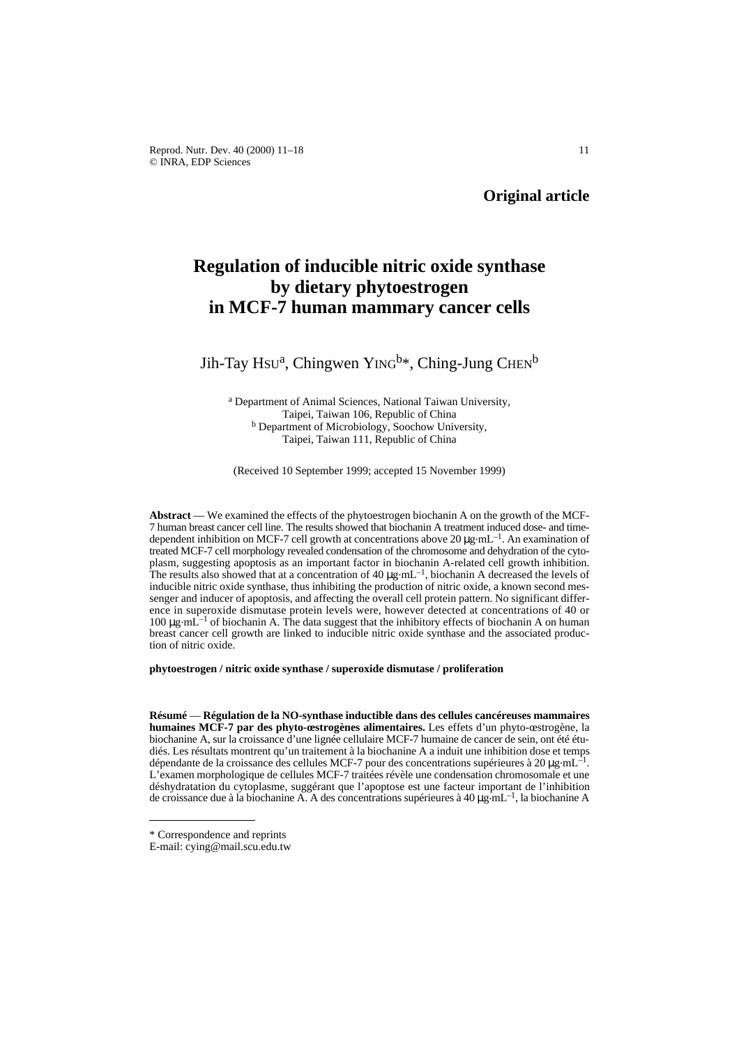Reprod. Nutr. Dev. 40 (2000) 11–18 11 © INRA, EDP Sciences

# **Regulation of inducible nitric oxide synthase by dietary phytoestrogen in MCF-7 human mammary cancer cells**

## Jih-Tay Hsu<sup>a</sup>, Chingwen YING<sup>b\*</sup>, Ching-Jung CHEN<sup>b</sup>

<sup>a</sup> Department of Animal Sciences, National Taiwan University, Taipei, Taiwan 106, Republic of China **b** Department of Microbiology, Soochow University, Taipei, Taiwan 111, Republic of China

(Received 10 September 1999; accepted 15 November 1999)

**Abstract** — We examined the effects of the phytoestrogen biochanin A on the growth of the MCF-7 human breast cancer cell line. The results showed that biochanin A treatment induced dose- and timedependent inhibition on MCF-7 cell growth at concentrations above  $20 \mu g \cdot mL^{-1}$ . An examination of treated MCF-7 cell morphology revealed condensation of the chromosome and dehydration of the cytoplasm, suggesting apoptosis as an important factor in biochanin A-related cell growth inhibition. The results also showed that at a concentration of 40  $\mu$ g.mL<sup>-1</sup>, biochanin A decreased the levels of inducible nitric oxide synthase, thus inhibiting the production of nitric oxide, a known second messenger and inducer of apoptosis, and affecting the overall cell protein pattern. No significant difference in superoxide dismutase protein levels were, however detected at concentrations of 40 or 100  $\mu$ g·mL<sup>-1</sup> of biochanin A. The data suggest that the inhibitory effects of biochanin A on human breast cancer cell growth are linked to inducible nitric oxide synthase and the associated production of nitric oxide.

**phytoestrogen / nitric oxide synthase / superoxide dismutase / proliferation**

**Résumé** — **Régulation de la NO-synthase inductible dans des cellules cancéreuses mammaires humaines MCF-7 par des phyto-œstrogènes alimentaires.** Les effets d'un phyto-œstrogène, la biochanine A, sur la croissance d'une lignée cellulaire MCF-7 humaine de cancer de sein, ont été étudiés. Les résultats montrent qu'un traitement à la biochanine A a induit une inhibition dose et temps dépendante de la croissance des cellules MCF-7 pour des concentrations supérieures à 20  $\mu$ g.mL<sup>-1</sup>. L'examen morphologique de cellules MCF-7 traitées révèle une condensation chromosomale et une déshydratation du cytoplasme, suggérant que l'apoptose est une facteur important de l'inhibition de croissance due à la biochanine A. A des concentrations supérieures à 40  $\mu$ g $\text{mL}^{-1}$ , la biochanine A

<sup>\*</sup> Correspondence and reprints

E-mail: cying@mail.scu.edu.tw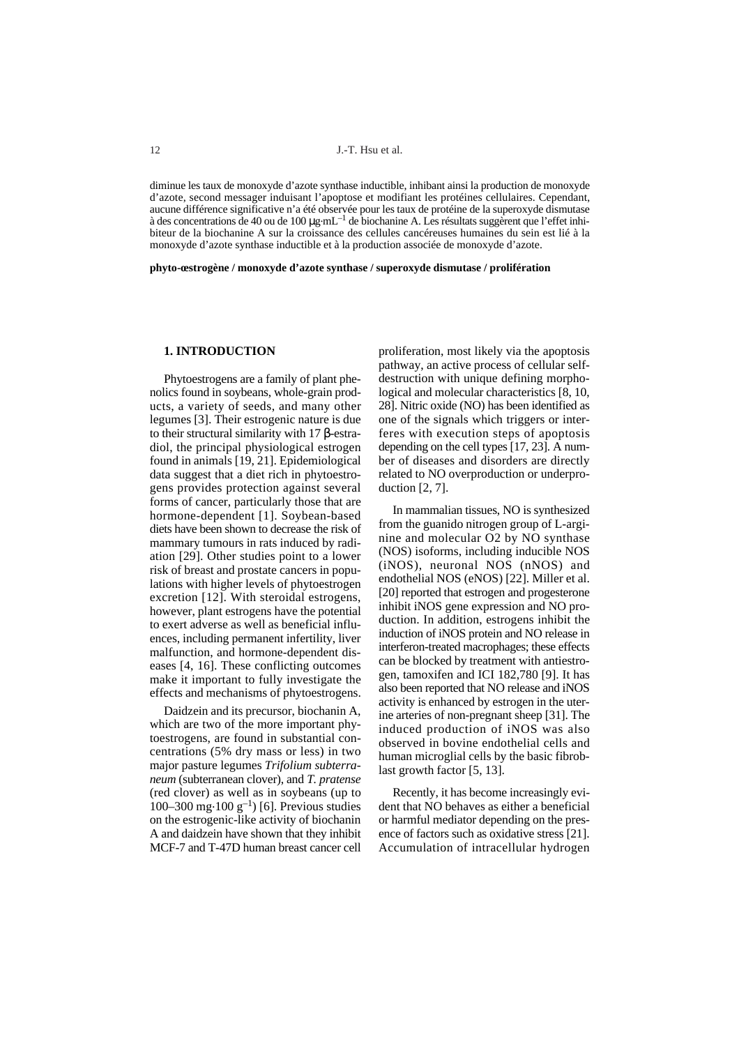diminue les taux de monoxyde d'azote synthase inductible, inhibant ainsi la production de monoxyde d'azote, second messager induisant l'apoptose et modifiant les protéines cellulaires. Cependant, aucune différence significative n'a été observée pour les taux de protéine de la superoxyde dismutase à des concentrations de 40 ou de 100 µg.mL–1 de biochanine A. Les résultats suggèrent que l'effet inhibiteur de la biochanine A sur la croissance des cellules cancéreuses humaines du sein est lié à la monoxyde d'azote synthase inductible et à la production associée de monoxyde d'azote.

**phyto-œstrogène / monoxyde d'azote synthase / superoxyde dismutase / prolifération** 

## **1. INTRODUCTION**

Phytoestrogens are a family of plant phenolics found in soybeans, whole-grain products, a variety of seeds, and many other legumes [3]. Their estrogenic nature is due to their structural similarity with 17 β-estradiol, the principal physiological estrogen found in animals [19, 21]. Epidemiological data suggest that a diet rich in phytoestrogens provides protection against several forms of cancer, particularly those that are hormone-dependent [1]. Soybean-based diets have been shown to decrease the risk of mammary tumours in rats induced by radiation [29]. Other studies point to a lower risk of breast and prostate cancers in populations with higher levels of phytoestrogen excretion [12]. With steroidal estrogens, however, plant estrogens have the potential to exert adverse as well as beneficial influences, including permanent infertility, liver malfunction, and hormone-dependent diseases [4, 16]. These conflicting outcomes make it important to fully investigate the effects and mechanisms of phytoestrogens.

Daidzein and its precursor, biochanin A, which are two of the more important phytoestrogens, are found in substantial concentrations (5% dry mass or less) in two major pasture legumes *Trifolium subterraneum* (subterranean clover), and *T. pratense* (red clover) as well as in soybeans (up to 100–300 mg $\cdot$ 100 g<sup>-1</sup>) [6]. Previous studies on the estrogenic-like activity of biochanin A and daidzein have shown that they inhibit MCF-7 and T-47D human breast cancer cell proliferation, most likely via the apoptosis pathway, an active process of cellular selfdestruction with unique defining morphological and molecular characteristics [8, 10, 28]. Nitric oxide (NO) has been identified as one of the signals which triggers or interferes with execution steps of apoptosis depending on the cell types [17, 23]. A number of diseases and disorders are directly related to NO overproduction or underproduction [2, 7].

In mammalian tissues, NO is synthesized from the guanido nitrogen group of L-arginine and molecular O2 by NO synthase (NOS) isoforms, including inducible NOS (iNOS), neuronal NOS (nNOS) and endothelial NOS (eNOS) [22]. Miller et al. [20] reported that estrogen and progesterone inhibit iNOS gene expression and NO production. In addition, estrogens inhibit the induction of iNOS protein and NO release in interferon-treated macrophages; these effects can be blocked by treatment with antiestrogen, tamoxifen and ICI 182,780 [9]. It has also been reported that NO release and iNOS activity is enhanced by estrogen in the uterine arteries of non-pregnant sheep [31]. The induced production of iNOS was also observed in bovine endothelial cells and human microglial cells by the basic fibroblast growth factor [5, 13].

Recently, it has become increasingly evident that NO behaves as either a beneficial or harmful mediator depending on the presence of factors such as oxidative stress [21]. Accumulation of intracellular hydrogen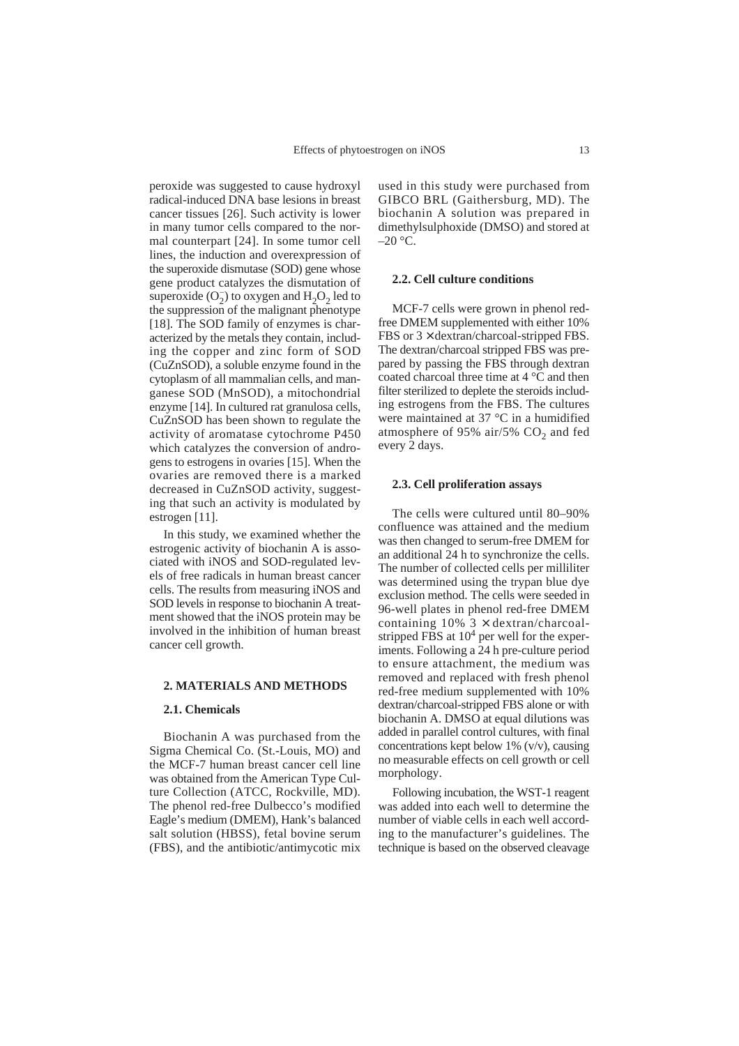peroxide was suggested to cause hydroxyl radical-induced DNA base lesions in breast cancer tissues [26]. Such activity is lower in many tumor cells compared to the normal counterpart [24]. In some tumor cell lines, the induction and overexpression of the superoxide dismutase (SOD) gene whose gene product catalyzes the dismutation of superoxide  $(O_2^-)$  to oxygen and  $H_2O_2$  led to the suppression of the malignant phenotype [18]. The SOD family of enzymes is characterized by the metals they contain, including the copper and zinc form of SOD (CuZnSOD), a soluble enzyme found in the cytoplasm of all mammalian cells, and manganese SOD (MnSOD), a mitochondrial enzyme [14]. In cultured rat granulosa cells, CuZnSOD has been shown to regulate the activity of aromatase cytochrome P450 which catalyzes the conversion of androgens to estrogens in ovaries [15]. When the ovaries are removed there is a marked decreased in CuZnSOD activity, suggesting that such an activity is modulated by estrogen [11].

In this study, we examined whether the estrogenic activity of biochanin A is associated with iNOS and SOD-regulated levels of free radicals in human breast cancer cells. The results from measuring iNOS and SOD levels in response to biochanin A treatment showed that the iNOS protein may be involved in the inhibition of human breast cancer cell growth.

## **2. MATERIALS AND METHODS**

#### **2.1. Chemicals**

Biochanin A was purchased from the Sigma Chemical Co. (St.-Louis, MO) and the MCF-7 human breast cancer cell line was obtained from the American Type Culture Collection (ATCC, Rockville, MD). The phenol red-free Dulbecco's modified Eagle's medium (DMEM), Hank's balanced salt solution (HBSS), fetal bovine serum (FBS), and the antibiotic/antimycotic mix used in this study were purchased from GIBCO BRL (Gaithersburg, MD). The biochanin A solution was prepared in dimethylsulphoxide (DMSO) and stored at  $-20$  °C.

## **2.2. Cell culture conditions**

MCF-7 cells were grown in phenol redfree DMEM supplemented with either 10% FBS or  $3 \times$  dextran/charcoal-stripped FBS. The dextran/charcoal stripped FBS was prepared by passing the FBS through dextran coated charcoal three time at 4 °C and then filter sterilized to deplete the steroids including estrogens from the FBS. The cultures were maintained at 37 °C in a humidified atmosphere of 95% air/5%  $CO<sub>2</sub>$  and fed every 2 days.

## **2.3. Cell proliferation assays**

The cells were cultured until 80–90% confluence was attained and the medium was then changed to serum-free DMEM for an additional 24 h to synchronize the cells. The number of collected cells per milliliter was determined using the trypan blue dye exclusion method. The cells were seeded in 96-well plates in phenol red-free DMEM containing  $10\%$  3  $\times$  dextran/charcoalstripped FBS at  $10<sup>4</sup>$  per well for the experiments. Following a 24 h pre-culture period to ensure attachment, the medium was removed and replaced with fresh phenol red-free medium supplemented with 10% dextran/charcoal-stripped FBS alone or with biochanin A. DMSO at equal dilutions was added in parallel control cultures, with final concentrations kept below 1%  $(v/v)$ , causing no measurable effects on cell growth or cell morphology.

Following incubation, the WST-1 reagent was added into each well to determine the number of viable cells in each well according to the manufacturer's guidelines. The technique is based on the observed cleavage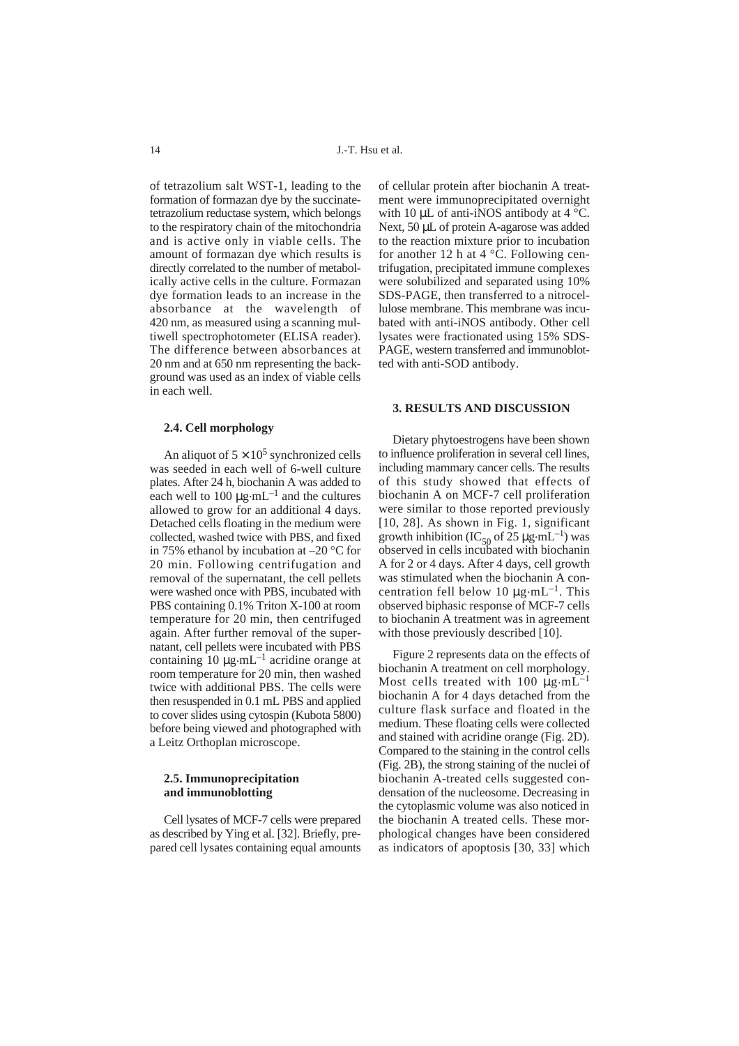of tetrazolium salt WST-1, leading to the formation of formazan dye by the succinatetetrazolium reductase system, which belongs to the respiratory chain of the mitochondria and is active only in viable cells. The amount of formazan dye which results is directly correlated to the number of metabolically active cells in the culture. Formazan dye formation leads to an increase in the absorbance at the wavelength of 420 nm, as measured using a scanning multiwell spectrophotometer (ELISA reader). The difference between absorbances at 20 nm and at 650 nm representing the background was used as an index of viable cells in each well.

#### **2.4. Cell morphology**

An aliquot of  $5 \times 10^5$  synchronized cells was seeded in each well of 6-well culture plates. After 24 h, biochanin A was added to each well to 100  $\mu$ g·mL<sup>-1</sup> and the cultures allowed to grow for an additional 4 days. Detached cells floating in the medium were collected, washed twice with PBS, and fixed in 75% ethanol by incubation at –20 °C for 20 min. Following centrifugation and removal of the supernatant, the cell pellets were washed once with PBS, incubated with PBS containing 0.1% Triton X-100 at room temperature for 20 min, then centrifuged again. After further removal of the supernatant, cell pellets were incubated with PBS containing 10 µg.mL–1 acridine orange at room temperature for 20 min, then washed twice with additional PBS. The cells were then resuspended in 0.1 mL PBS and applied to cover slides using cytospin (Kubota 5800) before being viewed and photographed with a Leitz Orthoplan microscope.

## **2.5. Immunoprecipitation and immunoblotting**

Cell lysates of MCF-7 cells were prepared as described by Ying et al. [32]. Briefly, prepared cell lysates containing equal amounts

of cellular protein after biochanin A treatment were immunoprecipitated overnight with 10  $\mu$ L of anti-iNOS antibody at 4  $\degree$ C. Next, 50 µL of protein A-agarose was added to the reaction mixture prior to incubation for another 12 h at  $4^{\circ}$ C. Following centrifugation, precipitated immune complexes were solubilized and separated using 10% SDS-PAGE, then transferred to a nitrocellulose membrane. This membrane was incubated with anti-iNOS antibody. Other cell lysates were fractionated using 15% SDS-PAGE, western transferred and immunoblotted with anti-SOD antibody.

#### **3. RESULTS AND DISCUSSION**

Dietary phytoestrogens have been shown to influence proliferation in several cell lines, including mammary cancer cells. The results of this study showed that effects of biochanin A on MCF-7 cell proliferation were similar to those reported previously [10, 28]. As shown in Fig. 1, significant growth inhibition (IC<sub>50</sub> of 25  $\mu$ g·mL<sup>-1</sup>) was observed in cells incubated with biochanin A for 2 or 4 days. After 4 days, cell growth was stimulated when the biochanin A concentration fell below 10  $\mu$ g·mL<sup>-1</sup>. This observed biphasic response of MCF-7 cells to biochanin A treatment was in agreement with those previously described [10].

Figure 2 represents data on the effects of biochanin A treatment on cell morphology. Most cells treated with 100  $\mu$ g·mL<sup>-1</sup> biochanin A for 4 days detached from the culture flask surface and floated in the medium. These floating cells were collected and stained with acridine orange (Fig. 2D). Compared to the staining in the control cells (Fig. 2B), the strong staining of the nuclei of biochanin A-treated cells suggested condensation of the nucleosome. Decreasing in the cytoplasmic volume was also noticed in the biochanin A treated cells. These morphological changes have been considered as indicators of apoptosis [30, 33] which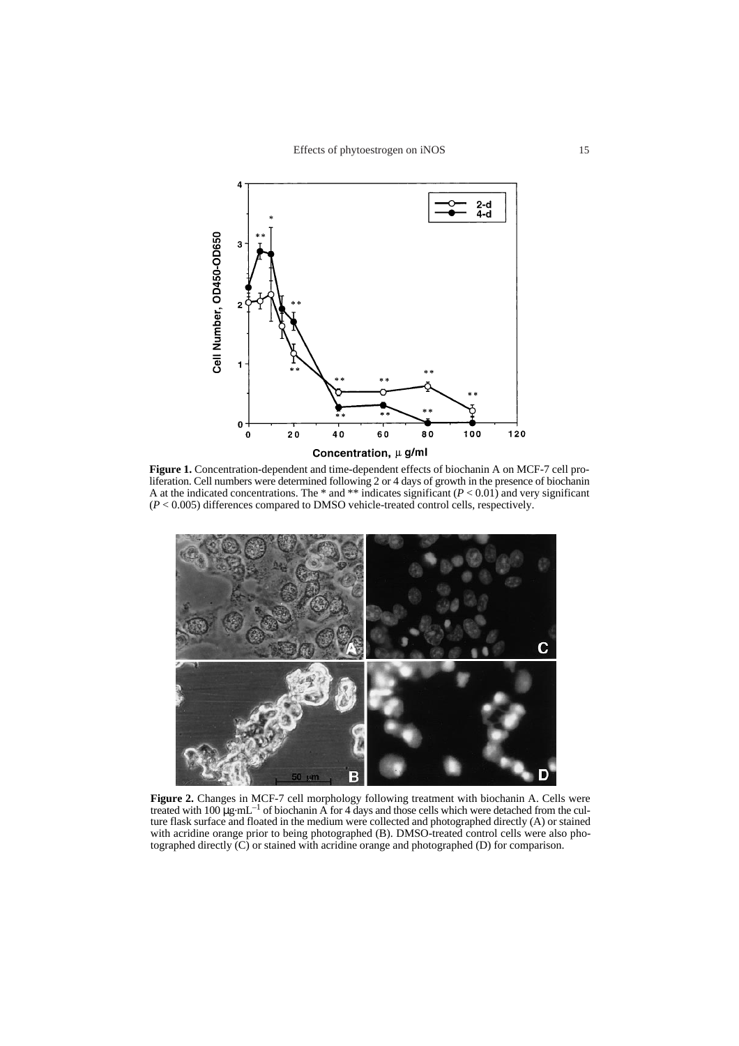

Figure 1. Concentration-dependent and time-dependent effects of biochanin A on MCF-7 cell proliferation. Cell numbers were determined following 2 or 4 days of growth in the presence of biochanin A at the indicated concentrations. The  $*$  and  $**$  indicates significant ( $P < 0.01$ ) and very significant (*P* < 0.005) differences compared to DMSO vehicle-treated control cells, respectively.



**Figure 2.** Changes in MCF-7 cell morphology following treatment with biochanin A. Cells were treated with 100 µg.mL–1 of biochanin A for 4 days and those cells which were detached from the culture flask surface and floated in the medium were collected and photographed directly (A) or stained with acridine orange prior to being photographed (B). DMSO-treated control cells were also photographed directly (C) or stained with acridine orange and photographed (D) for comparison.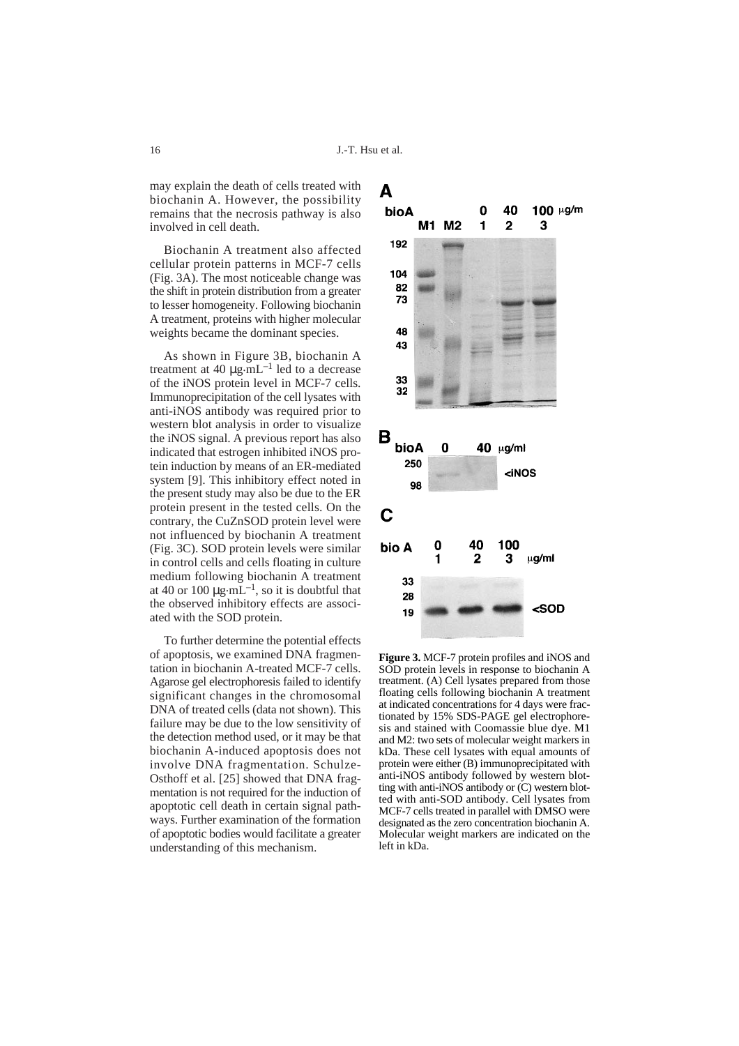may explain the death of cells treated with biochanin A. However, the possibility remains that the necrosis pathway is also involved in cell death.

Biochanin A treatment also affected cellular protein patterns in MCF-7 cells (Fig. 3A). The most noticeable change was the shift in protein distribution from a greater to lesser homogeneity. Following biochanin A treatment, proteins with higher molecular weights became the dominant species.

As shown in Figure 3B, biochanin A treatment at 40  $\mu$ g.mL<sup>-1</sup> led to a decrease of the iNOS protein level in MCF-7 cells. Immunoprecipitation of the cell lysates with anti-iNOS antibody was required prior to western blot analysis in order to visualize the iNOS signal. A previous report has also indicated that estrogen inhibited iNOS protein induction by means of an ER-mediated system [9]. This inhibitory effect noted in the present study may also be due to the ER protein present in the tested cells. On the contrary, the CuZnSOD protein level were not influenced by biochanin A treatment (Fig. 3C). SOD protein levels were similar in control cells and cells floating in culture medium following biochanin A treatment at 40 or 100  $\mu$ g·mL<sup>-1</sup>, so it is doubtful that the observed inhibitory effects are associated with the SOD protein.

To further determine the potential effects of apoptosis, we examined DNA fragmentation in biochanin A-treated MCF-7 cells. Agarose gel electrophoresis failed to identify significant changes in the chromosomal DNA of treated cells (data not shown). This failure may be due to the low sensitivity of the detection method used, or it may be that biochanin A-induced apoptosis does not involve DNA fragmentation. Schulze-Osthoff et al. [25] showed that DNA fragmentation is not required for the induction of apoptotic cell death in certain signal pathways. Further examination of the formation of apoptotic bodies would facilitate a greater understanding of this mechanism.



**Figure 3.** MCF-7 protein profiles and iNOS and SOD protein levels in response to biochanin A treatment. (A) Cell lysates prepared from those floating cells following biochanin A treatment at indicated concentrations for 4 days were fractionated by 15% SDS-PAGE gel electrophoresis and stained with Coomassie blue dye. M1 and M2: two sets of molecular weight markers in kDa. These cell lysates with equal amounts of protein were either (B) immunoprecipitated with anti-iNOS antibody followed by western blotting with anti-iNOS antibody or (C) western blotted with anti-SOD antibody. Cell lysates from MCF-7 cells treated in parallel with DMSO were designated as the zero concentration biochanin A. Molecular weight markers are indicated on the left in kDa.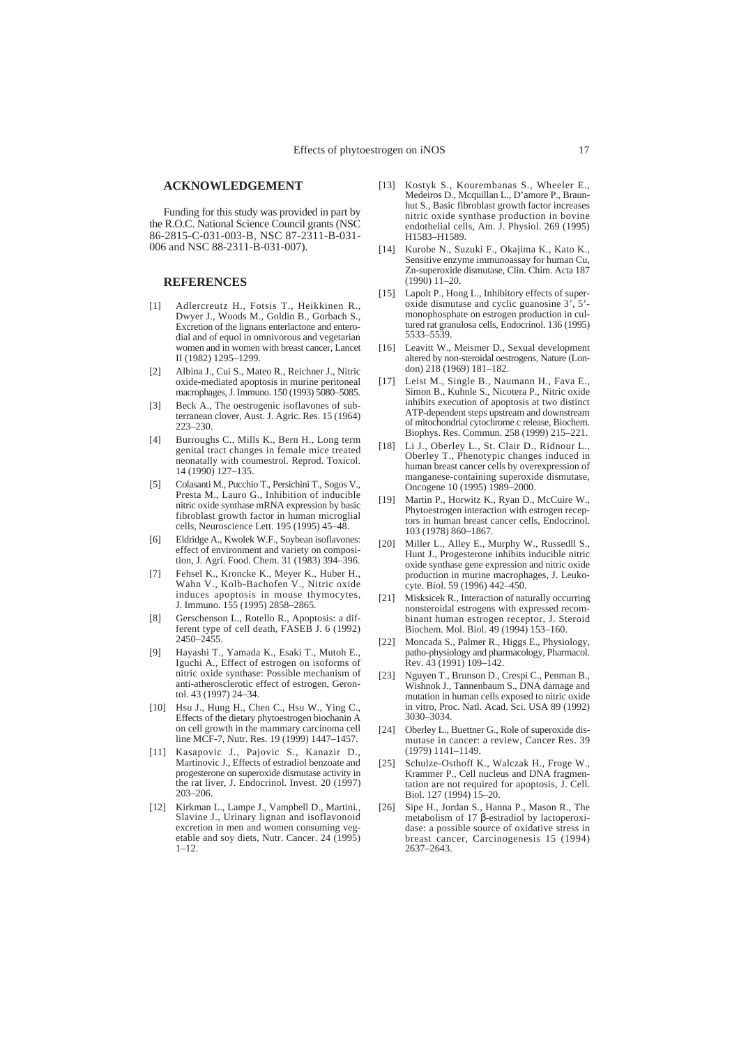#### **ACKNOWLEDGEMENT**

Funding for this study was provided in part by the R.O.C. National Science Council grants (NSC 86-2815-C-031-003-B, NSC 87-2311-B-031- 006 and NSC 88-2311-B-031-007).

#### **REFERENCES**

- [1] Adlercreutz H., Fotsis T., Heikkinen R., Dwyer J., Woods M., Goldin B., Gorbach S., Excretion of the lignans enterlactone and enterodial and of equol in omnivorous and vegetarian women and in women with breast cancer, Lancet II (1982) 1295–1299.
- [2] Albina J., Cui S., Mateo R., Reichner J., Nitric oxide-mediated apoptosis in murine peritoneal macrophages, J. Immuno. 150 (1993) 5080–5085.
- [3] Beck A., The oestrogenic isoflavones of subterranean clover, Aust. J. Agric. Res. 15 (1964) 223–230.
- [4] Burroughs C., Mills K., Bern H., Long term genital tract changes in female mice treated neonatally with coumestrol. Reprod. Toxicol. 14 (1990) 127–135.
- [5] Colasanti M., Pucchio T., Persichini T., Sogos V., Presta M., Lauro G., Inhibition of inducible nitric oxide synthase mRNA expression by basic fibroblast growth factor in human microglial cells, Neuroscience Lett. 195 (1995) 45–48.
- [6] Eldridge A., Kwolek W.F., Soybean isoflavones: effect of environment and variety on composition, J. Agri. Food. Chem. 31 (1983) 394–396.
- [7] Fehsel K., Kroncke K., Meyer K., Huber H., Wahn V., Kolb-Bachofen V., Nitric oxide induces apoptosis in mouse thymocytes, J. Immuno. 155 (1995) 2858–2865.
- [8] Gerschenson L., Rotello R., Apoptosis: a different type of cell death, FASEB J. 6 (1992) 2450–2455.
- [9] Hayashi T., Yamada K., Esaki T., Mutoh E., Iguchi A., Effect of estrogen on isoforms of nitric oxide synthase: Possible mechanism of anti-atherosclerotic effect of estrogen, Gerontol. 43 (1997) 24–34.
- [10] Hsu J., Hung H., Chen C., Hsu W., Ying C., Effects of the dietary phytoestrogen biochanin A on cell growth in the mammary carcinoma cell line MCF-7, Nutr. Res. 19 (1999) 1447–1457.
- [11] Kasapovic J., Pajovic S., Kanazir D., Martinovic J., Effects of estradiol benzoate and progesterone on superoxide dismutase activity in the rat liver, J. Endocrinol. Invest. 20 (1997) 203–206.
- [12] Kirkman L., Lampe J., Vampbell D., Martini., Slavine J., Urinary lignan and isoflavonoid excretion in men and women consuming vegetable and soy diets, Nutr. Cancer. 24 (1995)  $1 - 12$ .
- [13] Kostyk S., Kourembanas S., Wheeler E., Medeiros D., Mcquillan L., D'amore P., Braunhut S., Basic fibroblast growth factor increases nitric oxide synthase production in bovine endothelial cells, Am. J. Physiol. 269 (1995) H1583–H1589.
- [14] Kurobe N., Suzuki F., Okajima K., Kato K., Sensitive enzyme immunoassay for human Cu, Zn-superoxide dismutase, Clin. Chim. Acta 187 (1990) 11–20.
- [15] Lapolt P., Hong L., Inhibitory effects of superoxide dismutase and cyclic guanosine 3', 5' monophosphate on estrogen production in cultured rat granulosa cells, Endocrinol. 136 (1995) 5533–5539.
- [16] Leavitt W., Meismer D., Sexual development altered by non-steroidal oestrogens, Nature (London) 218 (1969) 181–182.
- [17] Leist M., Single B., Naumann H., Fava E., Simon B., Kuhnle S., Nicotera P., Nitric oxide inhibits execution of apoptosis at two distinct ATP-dependent steps upstream and downstream of mitochondrial cytochrome c release, Biochem. Biophys. Res. Commun. 258 (1999) 215–221.
- [18] Li J., Oberley L., St. Clair D., Ridnour L., Oberley T., Phenotypic changes induced in human breast cancer cells by overexpression of manganese-containing superoxide dismutase, Oncogene 10 (1995) 1989–2000.
- [19] Martin P., Horwitz K., Ryan D., McCuire W., Phytoestrogen interaction with estrogen receptors in human breast cancer cells, Endocrinol. 103 (1978) 860–1867.
- [20] Miller L., Alley E., Murphy W., Russedll S., Hunt J., Progesterone inhibits inducible nitric oxide synthase gene expression and nitric oxide production in murine macrophages, J. Leukocyte. Biol. 59 (1996) 442–450.
- [21] Misksicek R., Interaction of naturally occurring nonsteroidal estrogens with expressed recombinant human estrogen receptor, J. Steroid Biochem. Mol. Biol. 49 (1994) 153–160.
- [22] Moncada S., Palmer R., Higgs E., Physiology, patho-physiology and pharmacology, Pharmacol. Rev.  $\frac{1}{43}$  (1991) 109–142.
- [23] Nguyen T., Brunson D., Crespi C., Penman B., Wishnok J., Tannenbaum S., DNA damage and mutation in human cells exposed to nitric oxide in vitro, Proc. Natl. Acad. Sci. USA 89 (1992) 3030–3034.
- [24] Oberley L., Buettner G., Role of superoxide dismutase in cancer: a review, Cancer Res. 39 (1979) 1141–1149.
- [25] Schulze-Osthoff K., Walczak H., Froge W., Krammer P., Cell nucleus and DNA fragmentation are not required for apoptosis, J. Cell. Biol. 127 (1994) 15–20.
- [26] Sipe H., Jordan S., Hanna P., Mason R., The metabolism of 17 β-estradiol by lactoperoxidase: a possible source of oxidative stress in breast cancer, Carcinogenesis 15 (1994) 2637–2643.